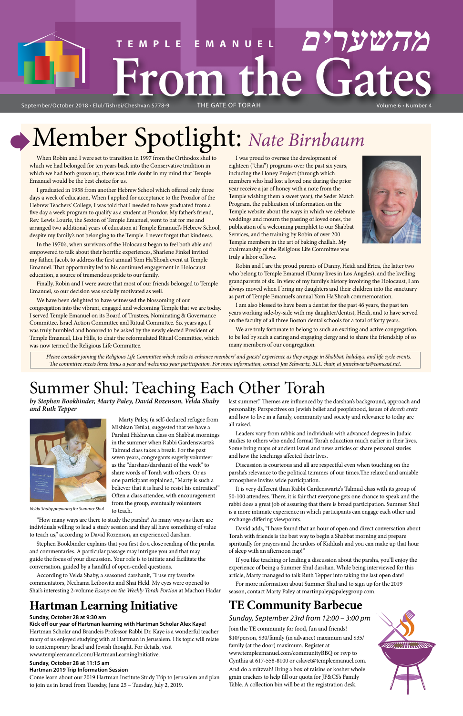# Volume 6 • Number 4 **TEMPLE EMANUEL מהשערים Mune GateS**

September/October 2018 · Elul/Tishrei/Cheshvan 5778-9

# Member Spotlight: *Nate Birnbaum*

## Summer Shul: Teaching Each Other Torah

*by Stephen Bookbinder, Marty Paley, David Rozenson, Velda Shaby and Ruth Tepper*



Marty Paley, (a self-declared refugee from Mishkan Tefila), suggested that we have a Parshat Ha'shavua class on Shabbat mornings in the summer when Rabbi Gardenswartz's Talmud class takes a break. For the past seven years, congregants eagerly volunteer as the "darshan/darshanit of the week" to share words of Torah with others. Or as one participant explained, "Marty is such a believer that it is hard to resist his entreaties!" Often a class attendee, with encouragement from the group, eventually volunteers

to teach.

"How many ways are there to study the parsha? As many ways as there are

individuals willing to lead a study session and they all have something of value to teach us," according to David Rozenson, an experienced darshan.

Stephen Bookbinder explains that you first do a close reading of the parsha and commentaries. A particular passage may intrigue you and that may guide the focus of your discussion. Your role is to initiate and facilitate the conversation, guided by a handful of open-ended questions.

According to Velda Shaby, a seasoned darshanit, "I use my favorite commentators, Nechama Leibowitz and Shai Held. My eyes were opened to Shai's interesting 2-volume *Essays on the Weekly Torah Portion* at Machon Hadar last summer." Themes are influenced by the darshan's background, approach and personality. Perspectives on Jewish belief and peoplehood, issues of *derech eretz* and how to live in a family, community and society and relevance to today are all raised.

Leaders vary from rabbis and individuals with advanced degrees in Judaic studies to others who ended formal Torah education much earlier in their lives. Some bring maps of ancient Israel and news articles or share personal stories and how the teachings affected their lives.

Discussion is courteous and all are respectful even when touching on the parsha's relevance to the political tzimmes of our times.The relaxed and amiable atmosphere invites wide participation.

It is very different than Rabbi Gardenswartz's Talmud class with its group of 50-100 attendees. There, it is fair that everyone gets one chance to speak and the rabbi does a great job of assuring that there is broad participation. Summer Shul is a more intimate experience in which participants can engage each other and exchange differing viewpoints.

David adds, "I have found that an hour of open and direct conversation about Torah with friends is the best way to begin a Shabbat morning and prepare spiritually for prayers and the ardors of Kiddush and you can make up that hour of sleep with an afternoon nap!"

If you like teaching or leading a discussion about the parsha, you'll enjoy the experience of being a Summer Shul darshan. While being interviewed for this article, Marty managed to talk Ruth Tepper into taking the last open date!

For more information about Summer Shul and to sign up for the 2019 season, contact Marty Paley at martinpaley@paleygroup.com.

When Robin and I were set to transition in 1997 from the Orthodox shul to which we had belonged for ten years back into the Conservative tradition in which we had both grown up, there was little doubt in my mind that Temple Emanuel would be the best choice for us.

I graduated in 1958 from another Hebrew School which offered only three days a week of education. When I applied for acceptance to the Prozdor of the Hebrew Teachers' College, I was told that I needed to have graduated from a five day a week program to qualify as a student at Prozdor. My father's friend, Rev. Lewis Lourie, the Sexton of Temple Emanuel, went to bat for me and arranged two additional years of education at Temple Emanuel's Hebrew School, despite my family's not belonging to the Temple. I never forgot that kindness.

In the 1970's, when survivors of the Holocaust began to feel both able and empowered to talk about their horrific experiences, Sharlene Finkel invited my father, Jacob, to address the first annual Yom Ha'Shoah event at Temple Emanuel. That opportunity led to his continued engagement in Holocaust education, a source of tremendous pride to our family.

Finally, Robin and I were aware that most of our friends belonged to Temple Emanuel, so our decision was socially motivated as well.

We have been delighted to have witnessed the blossoming of our congregation into the vibrant, engaged and welcoming Temple that we are today. I served Temple Emanuel on its Board of Trustees, Nominating & Governance Committee, Israel Action Committee and Ritual Committee. Six years ago, I was truly humbled and honored to be asked by the newly elected President of Temple Emanuel, Lisa Hills, to chair the reformulated Ritual Committee, which was now termed the Religious Life Committee.

I was proud to oversee the development of eighteen ("chai") programs over the past six years, including the Honey Project (through which members who had lost a loved one during the prior year receive a jar of honey with a note from the Temple wishing them a sweet year), the Seder Match Program, the publication of information on the Temple website about the ways in which we celebrate weddings and mourn the passing of loved ones, the publication of a welcoming pamphlet to our Shabbat Services, and the training by Robin of over 200 Temple members in the art of baking challah. My chairmanship of the Religious Life Committee was truly a labor of love.



Robin and I are the proud parents of Danny, Heidi and Erica, the latter two who belong to Temple Emanuel (Danny lives in Los Angeles), and the kvelling grandparents of six. In view of my family's history involving the Holocaust, I am always moved when I bring my daughters and their children into the sanctuary as part of Temple Emanuel's annual Yom Ha'Shoah commemoration.

I am also blessed to have been a dentist for the past 46 years, the past ten years working side-by-side with my daughter/dentist, Heidi, and to have served on the faculty of all three Boston dental schools for a total of forty years.

We are truly fortunate to belong to such an exciting and active congregation, to be led by such a caring and engaging clergy and to share the friendship of so many members of our congregation.

## **Hartman Learning Initiative**

#### **Sunday, October 28 at 9:30 am**

#### **Kick off our year of Hartman learning with Hartman Scholar Alex Kaye!**

Hartman Scholar and Brandeis Professor Rabbi Dr. Kaye is a wonderful teacher many of us enjoyed studying with at Hartman in Jerusalem. His topic will relate to contemporary Israel and Jewish thought. For details, visit www.templeemanuel.com/HartmanLearningInitiative.

## **Sunday, October 28 at 11:15 am**

#### **Hartman 2019 Trip Information Session**

Come learn about our 2019 Hartman Institute Study Trip to Jerusalem and plan to join us in Israel from Tuesday, June 25 – Tuesday, July 2, 2019.

## **TE Community Barbecue**

## *Sunday, September 23rd from 12:00 – 3:00 pm*

Join the TE community for food, fun and friends! \$10/person, \$30/family (in advance) maximum and \$35/ family (at the door) maximum. Register at www.templeemanuel.com/communityBBQ or rsvp to Cynthia at 617-558-8100 or cslavet@templeemanuel.com. And do a mitzvah! Bring a box of raisins or kosher whole grain crackers to help fill our quota for JF&CS's Family Table. A collection bin will be at the registration desk.



*Velda Shaby preparing for Summer Shul*

*Please consider joining the Religious Life Committee which seeks to enhance members' and guests' experience as they engage in Shabbat, holidays, and life cycle events. The committee meets three times a year and welcomes your participation. For more information, contact Jan Schwartz, RLC chair, at janschwartz@comcast.net.*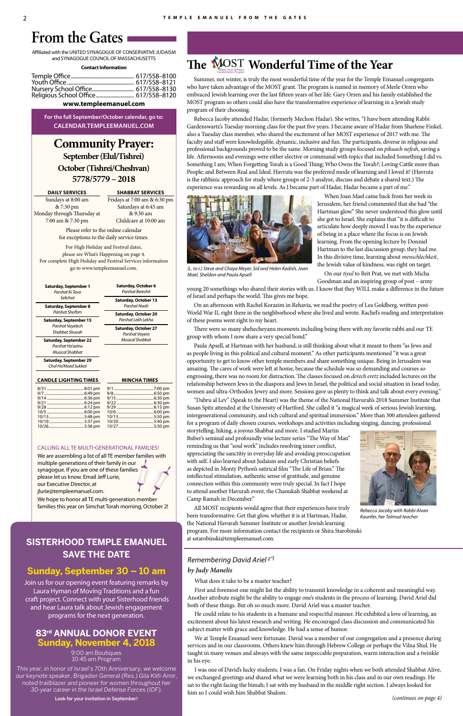## **Community Prayer: September (Elul/Tishrei) October (Tishrei/Cheshvan) 5778/5779 – 2018**

#### **DAILY SERVICES**

Sundays at 8:00 am & 7:30 pm Monday through Thursday at 7:00 am & 7:30 pm

**SHABBAT SERVICES** Fridays at 7:00 am & 6:30 pm Saturdays at 6:45 am & 9:30 am Childcare at 10:00 am

.5:50 pm

5:30 pm

Please refer to the online calendar for exceptions to the daily service times.

For High Holiday and Festival dates, please see What's Happening on page 4. For complete High Holiday and Festival Services information go to www.templeemanuel.com.

Affiliated with the UNITED SYNAGOGUE OF CONSERVATIVE JUDAISM and SYNAGOGUE COUNCIL OF MASSACHUSETTS

#### **Contact Information**

#### **www.templeemanuel.com**

**For the full September/October calendar, go to: CALENDAR.TEMPLEEMANUEL.COM**

## **From the Gates**

10/13 ....................................5:48 pm 10/19 ....................................5:37 pm

| <b>Saturday, September 1</b><br>Parshat Ki Tavo                             | Saturday, October 6<br><b>Parshat Bereshit</b>    |
|-----------------------------------------------------------------------------|---------------------------------------------------|
| Selichot                                                                    | <b>Saturday, October 13</b>                       |
| Saturday, September 8<br>Parshat Shoftim                                    | Parshat Noah                                      |
| Saturday, September 15                                                      | <b>Saturday, October 20</b><br>Parshat Lekh Lekha |
| Parshat Vayelech<br>Shabbat Shuvah                                          | <b>Saturday, October 27</b><br>Parshat Vayera     |
| <b>Saturday, September 22</b><br>Parshat Ha'azinu<br><b>Musical Shabbat</b> | <b>Musical Shabbat</b>                            |
| <b>Saturday, September 29</b><br>Chol Ha'Moed Sukkot                        |                                                   |
| <b>CANDLE LIGHTING TIMES</b>                                                | <b>MINCHA TIMES</b>                               |
|                                                                             |                                                   |
|                                                                             |                                                   |

10/20 ....................................5:40 pm

Summer, not winter, is truly the most wonderful time of the year for the Temple Emanuel congregants who have taken advantage of the MOST grant. The program is named in memory of Merle Orren who embraced Jewish learning over the last fifteen years of her life. Gary Orren and his family established the MOST program so others could also have the transformative experience of learning in a Jewish study program of their choosing.

Rebecca Jacoby attended Hadar, (formerly Mechon Hadar). She writes, "I have been attending Rabbi Gardenswartz's Tuesday morning class for the past five years. I became aware of Hadar from Sharlene Finkel, also a Tuesday class member, who shared the excitement of her MOST experience of 2017 with me. The faculty and staff were knowledegable, dynamic, inclusive and fun. The participants, diverse in religious and professional backgrounds proved to be the same. Morning study groups focused on *pikuach nefesh*, saving a life. Afternoons and evenings were either elective or communal with topics that included Something I did vs. Something I am; When Forgetting Torah is a Good Thing; Who Owns the Torah?; Loving Cattle more than People; and Between Real and Ideal. Havruta was the preferred mode of learning and I loved it! (Havruta is the rabbinic approach for study where groups of 2-3 analyze, discuss and debate a shared text.) The experience was rewarding on all levels. As I became part of Hadar, Hadar became a part of me."

When Joan Mael came back from her week in Jerusalem, her friend commented that she had "the Hartman glow." She never understood this glow until she got to Israel. She explains that "it is difficult to articulate how deeply moved I was by the experience of being in a place where the focus is on Jewish learning. From the opening lecture by Donniel Hartman to the last discussion group, they had me. In this divisive time, learning about *menschlechkeit*, the Jewish value of kindness, was right on target.

On our *tiyul* to Beit Prat, we met with Micha Goodman and an inspiring group of post – army

young 20 somethings who shared their stories with us. I know that they WILL make a difference in the future of Israel and perhaps the world. This gives me hope.

On an afternoon with Rachel Korazim in Rehavia, we read the poetry of Lea Goldberg, written post-World War II, right there in the neighborhood where she lived and wrote. Rachel's reading and interpretation of these poems went right to my heart.

There were so many shehecheyanu moments including being there with my favorite rabbi and our TE group with whom I now share a very special bond."

Paula Apsell, at Hartman with her husband, is still thinking about what it meant to them "as Jews and as people living in this political and cultural moment." As other participants mentioned "it was a great opportunity to get to know other temple members and share something unique. Being in Jerusalem was amazing. The cares of work were left at home, because the schedule was so demanding and courses so engrossing, there was no room for distraction. The classes focused on *derech eretz* included lectures on the relationship between Jews in the diaspora and Jews in Israel, the political and social situation in Israel today, women and ultra-Orthodox Jewry and more. Sessions gave us plenty to think and talk about every evening."

"Dabru al Lev" (Speak to the Heart) was the theme of the National Havurah's 2018 Summer Institute that Susan Spitz attended at the University of Hartford. She called it "a magical week of serious Jewish learning, intergenerational community, and rich cultural and spiritual immersion." More than 300 attendees gathered for a program of daily chosen courses, workshops and activities including singing, dancing, professional

storytelling, hiking, a joyous Shabbat and more. I studied Martin Buber's seminal and profoundly wise lecture series "The Way of Man" reminding us that "soul work" includes resolving inner conflict, appreciating the sanctitiy in everyday life and avoiding preoccupation with self. I also learned about Judaism and early Christian beliefs as depicted in Monty Python's satirical film "The Life of Brian." The intellectual stimulation, authentic sense of gratitude, and genuine connection within this community were truly special. In fact I hope to attend another Havurah event, the Chanukah Shabbat weekend at Camp Ramah in December."

All MOST recipients would agree that their experiences have truly been transformative. Get that glow, whether it is at Hartman, Hadar, the National Havurah Summer Institute or another Jewish learning

program. For more information contact the recipients or Shira Starobinski at sstarobinski@templeemanuel.com.

## **83rd ANNUAL DONOR EVENT Sunday, November 4, 2018**

9:00 am Boutiques 10:45 am Program

This year, in honor of Israel's 70th Anniversary, we welcome our keynote speaker, Brigadier General (Res.) Gila Klifi-Amir, noted trailblazer and pioneer for women throughout her 30-year career in the Israel Defense Forces (IDF).

Look for your invitation in September!



*Rebecca Jacoby with Rabbi Alvan Kaunfer, her Talmud teacher*



*(L. to r.) Steve and Chaya Meyer, Sid and Helen Kadish, Joan Mael, Sheldon and Paula Apsell*

#### CALLING ALL TE MULTI-GENERATIONAL FAMILIES!

5:36 pm

We are assembling a list of all TE member families with multiple generations of their family in our synagogue. If you are one of these families please let us know. Email Jeff Lurie, our Executive Director, at jlurie@templeemanuel.com.

We hope to honor all TE multi-generation member families this year on Simchat Torah morning, October 2!

## **The MOST Wonderful Time of the Year**

## **Sunday, September 30 – 10 am**

Join us for our opening event featuring remarks by Laura Hyman of Moving Traditions and a fun craft project. Connect with your Sisterhood friends and hear Laura talk about Jewish engagement programs for the next generation.

## **SISTERHOOD TEMPLE EMANUEL SAVE THE DATE** *Remembering David Ariel z"l*

### *by Judy Manelis*

### What does it take to be a master teacher?

First and foremost one might list the ability to transmit knowledge in a coherent and meaningful way. Another attribute might be the ability to engage one's students in the process of learning. David Ariel did both of these things. But oh so much more. David Ariel was a master teacher.

He could relate to his students in a humane and respectful manner. He exhibited a love of learning, an excitement about his latest research and writing. He encouraged class discussion and communicated his subject matter with grace and knowledge. He had a sense of humor.

We at Temple Emanuel were fortunate. David was a member of our congregation and a presence during services and in our classrooms. Others knew him through Hebrew College or perhaps the Vilna Shul. He taught in many venues and always with the same impeccable preparation, warm interaction and a twinkle in his eye.

I was one of David's lucky students. I was a fan. On Friday nights when we both attended Shabbat Alive, we exchanged greetings and shared what we were learning both in his class and in our own readings. He sat to the right facing the bimah; I sat with my husband in the middle right section. I always looked for him so I could wish him Shabbat Shalom.

*(continues on page 4)*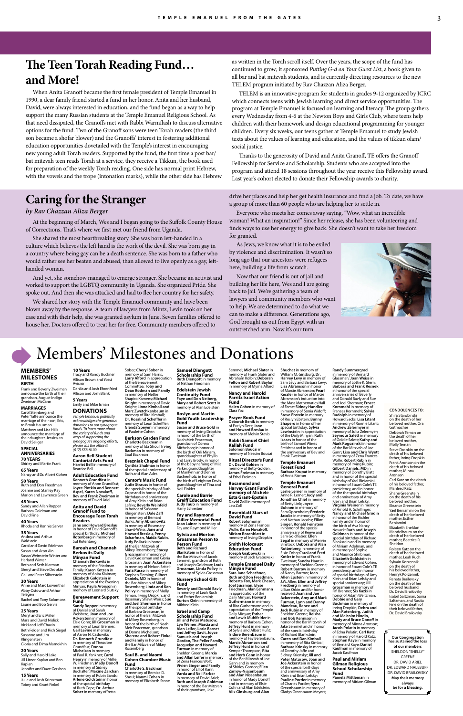## Members' Milestones and Donations

### **MEMBERS' MILESTONES**

## **BIRTH**

Frank and Beverly Zweiman announce the birth of their grandson, August Indigo Zweiman McCann

## **MARRIAGES**

#### **SPECIAL ANNIVERSARIES**

**70 YEARS** Shirley and Martin Frant **65 Years**

Nancy and Dr. Albert Cohen **50 Years** Ruth and Don Freedman Joanne and Stanley Kay Marion and Lawrence Green

**45 Years** Sandy and Allan Ropper Barbara Goldman and

#### David Fine **40 Years**

Rhoda and Ronnie Sarver

## **35 Years**

Andrea and Arthur Waldstein

Carol and David Edelman Susan and Aron Ain Susan Weinstein-Winter and Harland Winter Beth and Seth Klarman Sheryl and Steve Dropkin Gail and Peter Silberstein

#### **30 Years**

Anne and Marc Lowenthal Abby Ostow and Arthur Telegen Rachel and Tony Solomons Laurie and Bob Gervis

#### **25 Years**

Meryl and Eric Miller Mara and David Nislick Vicki and Jeff Chavin Beth Felder and Rich Siegel Susanne and Jim Klingenstein Gloria and Dima Mamokhin

#### **20 Years**

Sally and Harold Lake Jill Litner Kaplan and Ben Kaplan Jennifer and Dave Gershon

#### **15 Years**

Julie and Josh Krintzman Tobey and Grant Finkel

memory of Leon Scheffler; **Glenda Speyer** in memory of Paulette Cohen **Berkson Garden Fund**

**Brezniak Chapel Fund Cynthia Shulman** in honor of the special anniversary of Ruth and Alan Ades

**Larry Alford** in appreciation of the Bereavement Committee; **Toby and Samuel Diengott Scholarship Fund Ruth Diengott** in memory of Nathan Friedman

in memory of Rosemary Shavit-Weiss; **Jane and Howard Breslau, Penny Scharfman, Maida Rubin, Judy Pollack** in honor of the Bar Mitzvah of Mikey Rosemberg; **Stacey Grossman** in memory of David Grossman and Gloria Grossman; **Joan Ackerstein** in memory of Nelson Seitel; **Farla Russo** in memory of Stephen Fleming; **Gilbert Daniels, MD** in honor of the Bar Mitzvah of Mikey Rosemberg; **Linda and Ken Polivy** in memory of Molly Teman, Irving Dropkin, and Rosemary Shavit-Weiss; **Sue** 

honor of the Bar Mitzvah of Mikey Rosemberg, in honor of the birth of Noah Meir Peaceman, grandson of Donna Michelson;

**and Family** in honor of the Bar Mitzvah of Mikey

#### **Edelstein Jewish Continuity Fund Faye and Don Neiberg, Mary and Robert Scott** in memory of Alan Edelstein

#### **Roslyn and Martin Gold Youth Leadership Fund**

**Susan and Bruce Gold** in memory of Irving Dropkin; in honor of the birth of Noah Meir Peaceman, grandson of Donna Michelson; in honor of the birth of Orli Miriam, granddaughter of Phyllis and Larry Brody; in honor of the baby naming of Mila Parker, granddaughter of Marilynn and Dennis Buchenholz; in honor of the birth of Leighton Davis, granddaughter of Tina and Neil Finkler

> **Carole and Barrie Greiff Education Fund Judy Taub** in memory of Harry Schreiber

**Fay and Raymond Miller Memorial Fund**

**Joan Lainer** in memory of Fay and Raymond Miller

#### **Sylvia and Morton Grossman Person to Person Fund Beth and Richard Blankstein** in honor of the Bar Mitzvah of Jacob Semmel, grandson of Ruth and Joseph Goldman; **Louis Grossman, Linda Polivy** in memory of Sylvia Grossman

#### **Nursery School Gift Fund**

**Beverly and Donald Bavly** in memory of Leah Ruch and Esther Beniamini; **Burton Klein** in memory of Mildred Klein

**Israel and Camp Scholarship Fund Jill and Peter Matusow, Lyn Weiner, Marcia and Alan Leifer, Lorie Barnet and Jeffrey Savit, Joyce Samuels and Joseph Gordon, The Peller Family, Jacquelyn and Howard Furman** in memory of Sheldon Greene; **Marcia and Allan Leifer** in memory of Zena Frances Wolf; **Vivien Singer and Family** in honor of Elliot Kann; **Varda and Neil Farber** in memory of David Ariel; **Ruth and Joseph Goldman** in honor of the Bar Mitzvah of their grandson, Jake

Semmel; **Michael Slater** in memory of Frank Slater and Abraham Kolbin; **Deborah Felton and Robert Baylor** in memory of Myrna Alford

#### **Nancy and Harold Parritz Israel Action Fund**

**Helen Cohen** in memory of Clara Yoz **Prayer Book Fund**

**Deborah Benik** in memory of Evelyn Detz; **Jane and Howard Breslau** in memory of Melvin Stavis

**Rabbi Samuel Chiel Kallah Fund Solomon Boucai** in memory of Nessim Boucai

**Ritual Director's Fund Dr. David Golden** in memory of Betty Golden; **James Freiman** in memory of Ethel Freiman

**Rosamond and** 

**Harvey Grant Fund in memory of Michele Esta Grant-Epstein David Zoll** in memory of Leo Zoll

Carol Steinberg and Peter Yaffe announce the marriage of their son, Eric, to Brook Hausman Matthew and Lisa Hills announce the marriage of their daughter, Jessica, to David Seliger *donations to our synagogue funds. To learn more about the variety of funds and ways of supporting the* 

Sober; **Cheryl Sober** in memory of Sam Harris; **10 Years** Tracy and Randy Buckner Allison Brown and Yossi

> **Rosenblatt Stars of David Fund Robert Solomon** in memory of Zena Frances Wolfe; **Karen Novakoff, Miriam Rosenblatt** in memory of Irving Dropkin **Smith Holocaust Education Fund Joseph Grabowski** in memory of Jack Grabowski **Temple Emanuel Daily Minyan Fund Sara Jane Schechner, Ruth and Don Freedman, Roberta Fox, Mark Cheser, Joel Sussman, Elyse Friedman, Alan Lehmann** in appreciation of the Daily Minyan; **Howard Guthermann** in memory of Rita Guthermann and in appreciation of the Temple Daily Minyan; **Esther and Lewis Muhlfelder** in memory of Barbara Cohen; **Jeffrey Hunt** in memory of Sylvia and Albert Hunt; **Isidore Berenbaum** in memory of Fay Berenbaum; **Marcie Abramson and Jeffrey Hunt** in honor of Kemper Thompson; **Rita and Herb Gann** in honor of the Bar Mitzvah of Joe Gann and in memory of Shirley Gordon; **Ellen Zarrow-Nissenbaum and Alan Nissenbaum** in honor of Mady Donoff and in memory of Elsie Cohn and Alan Edelstein; **Alix Ginsburg and Alan**

**Dean Rodman and Family** in memory of Nettie Shapiro Kamens; **Michael Knight** in memory of David Knight; **Linne Kimball and Marc Zwetchkenbaum** in memory of Rita Kimball; **Dr. Rosalind Scheffler** in *Temple Emanuel gratefully acknowledges the generous* 

**Charlotte Backman** in memory of Ida Shoul; **Irving Backman** in memory of Saul Backman *synagogue's ongoing efforts, please call the office @*

**Cantor's Music Fund Judie Strauss** in honor of the special birthday of Ruth Cope and in honor of the birthdays and anniversary of Amy Klein and Brian Lefsky; **Beverly Weinfeld** in honor of Susann Klingenstein; **Dale Zaff** in memory of Bernard Borks; **Amy Abramovitz** memory of Anne Grundfast; **Joyce Plotkin and Bennett Bev and Frank Zweiman** in memory of David Ariel

**Shuchat** in memory of William M. Ginsburg; **Dr. Harvey Levy** in memory of Sam Levy and Barbara Levy; **Lisa Abramson** in honor of Marcie Abramson; **Pearl Kessler** in honor of Marcie Abramson's induction into the Mass Mathematics Hall of Fame; **Sidney Handler** in memory of Sonia Widoff; **Steve Ebstein** in memory of Roslyn Ebstein; **Bunny Shapero** in honor of her special birthday; **Sylvia Lewinstein** in appreciation of the Daily Minyan; **Ruth Isaacs** in honor of the birth of Samuel Wines Freishtat and in honor of the anniversary of Bev and Frank Zweiman

**Temple Emanuel Forest Fund Barbara Krupat** in memory of Anna Riemer

## **Temple Emanuel**

**and Joel Sherman** in honor of the special birthday of Barbara Grossman, in **Sherene and Robert Finkel**  Rosemberg **Saul B. and Naomi**  of Daniel and Sarah Weisberg; **Joan and Joe Ackerstein** in memory of Elsie Cohn; **Jill Grossman** in memory of Leon Brenner; **Gail Levine** in memory of Aaron N. Caslowitz; **Dr. Kenneth Grundfast** in memory of Theodore Grundfast; **Donna Michelson** in memory of Paul R. Yankner; **Carol** 

**General Fund Leslie Lerner** in memory of Anne R. Lerner; **Judy and Jonathan Chiel** in memory of Betty Link; **Joyce Bohnen** in memory of Sara Oppenheim; **Frederic Jacobs** in memory of Betty and Nathan Jacobs; **Elliot Singer, Ronald Feinstein** in honor of the special

**Cohen Chamber Music Fund Charlotte S. Backman** in memory of Bernice D. Shoul; **Naomi Cohen** in memory of Elizabeth Stone **Henry** in memory of Millie W. Friedman; **Mady Donoff** in memory of Sidney Buchalter; **Maxine Zarchan** in memory of Rubin Sands; **Arlene Goldstein** in honor of the special birthday of Ruth Cope; **Dr. Arthur Sober** in memory of Yetta

anniversary of Reeve and Sam Goldhaber; **Ellen Segal** in memory of Mervin Binstock; **Debora and Alan Rottenberg** in memory of Elsie Cohn; **Carol and Fred Kotler** in honor of Frank Zweiman; **Sandra Haut** in memory of Sheldon Greene; **Robert Barrow** in memory of Nancy Barrow; **Jean Allen Epstein** in memory of J.W. Allen; **Ellen and Jeffrey Fredberg** in memory of Lillian Orkin and for honor received; **Joan and Joe Ackerstein, Amy and Mark Furman, Lynn and Danny Mandeau, Renee and Jack Rubin** in memory of Sheldon Greene; **Reisha and Bob Kennison** in honor of the Bar Mitzvah of Jake Semmel and in honor of the special birthday of Richard Blankstein; **Caren and Dan Kimball** in memory of Rita Kimball; **Barbara Krinsky** in memory **Durburn Hills, 111**<br>of Dorothy Jaffe and Sidney Kriensky; **Jill and Peter Matusow, Joan and Joe Ackerstein** in honor of the special birthdays and anniversary of Amy Klein and Brian Lefsky; **Pauline Porder** in memory of Charles Porder; **Ryna Greenbaum** in memory of Gladys Greenbaum Meyers;

**Randy Summergrad** in memory of Bernard Glassman; **Joan Weiss** in memory of Lottie K. Stern; **Barbara and Frank Resnek** in honor of the special anniversaries of Beverly and Donald Bavly and Sue and Joel Sherman; **Ernest Kornmehl** in memory of Frances Kornmehl; **Sylvia Rudolph** in memory of Howard Sacks; **Lisa Litant** in memory of Ronnie Litant; **Andrew Zelermyer** in memory of Julia Zelermyer; **Seymour Salett** in memory of Goldie Salett; **Kathy and Mark Rogozinski** in honor of the Bar Mitzvah of Joe Gann; **Lisa and Chris Wyett** in memory of Zena Frances Wolfe; **Robert Rubin** in memory of Irving Rubin; **Gilbert Daniels, MD** in memory of Dorothy Blatt and in honor of the special birthday of Yael Biniamini, in honor of Stuart Cole's TE presidency, and in honor of the the special birthdays and anniversary of Amy Klein and Brian Lefsky; **Virginia Weiner** in memory of Arnold A. Schillinger; **Nancy and Michael Grodin** in honor of the Richler Family and in honor of the birth of Ava Nancy Novack; **Ruth and Joseph Goldman** in honor of the special birthday of Richard Blankstein and in memory of Miriam Adelman, and in memory of Sophie and Maurice Shribman; **Elizabeth Goldstein** in memory of Edward Cohen,<br>in honor of Stuart Cole's TE presidency, and in honor of special birthdays of Amy Klein and Brian Lefsky and special anniversary; **Jill Grossman** in memory of Fifi Brenner; **Sis Kazis** in honor of Adam Weitzman; **Debbie and Gary Buchman** in memory of Irving Dropkin; **Debra and Alan Rotenberg, Judith and Malcolm Hindin, Mady and Bruce Donoff** in memory of Minna Aronson; **Jacob Polatin** in memory of Edna Polatin; **Carl Katz** in memory of Harold Katz; **Stephen Kaye** in memory of Bernard Kaye; **Daniel Kaufman** in memory of Jacob Kaufman **Paul and Miriam Gilman Religious School Scholarship Fund Pamela Mittleman** in

memory of Miriam Gilman

#### Avisror Dahlia and Josh Ehrenfried Allison and Josh Blank

**5 Years** Emily and Mike Isman **DONATIONS**

*(617) 558-8100.* **Aaron Bell Student Cantorial Arts Fund Harriet Bell** in memory of

Beatrice Bell

**Adult Education Fund Kenneth Grundfast** in

**Aspel, Karen Novakoff,** 

**Anita and David Granoff Fund to Encourage Teen Torah** 

**Readers**

**Jane and Howard Breslau** in honor of David Granoff's special birthday; **Michael Rotenberg** in memory of Sol Rotenberg

**Barouh and Channah Berkovits Daily Minyan Fund Channah Berkovits** in memory of the Friedman Family; **Karen Kotzen** in memory of Anita Klaiman; **Elizabeth Goldstein** in appreciation of the Evening Minyan; **Paula Aronson** in memory of Leonard Slutsky

#### **Bereavement Support Fund Sandy Ropper** in memory

**Our Congregation has sustained the loss of our members** SHELDON "SHELLY" GREENE DR. DAVID ARIEL DR. EDWARD NALEBUFF DR. DAVID BRAILOVSKY **May their memory always be for a blessing.**

**CONDOLENCES TO:** Shira Starobinski on the death of her beloved mother, Ora Gutmacher Deborah Teman on the death of her beloved mother, Molly Teman Steve Dropkin on the death of his beloved<br>father, Irving Dropkin Frank Aronson on the death of his beloved mother, Minna Aronson Carl Katz on the death of his beloved father, Manfred Katz Shane Greenstein on the death of his beloved mother, Eleanor Greenstein Yael Beniamini on the death of her beloved mother, Esther Beniamini Elizabeth Sheldon Mandelbaum on the death of her beloved mother, Beatrice R. Sheldon

Roleen Katz on the death of her beloved mother, Leah Ruch

Sylvain Korzennik on the death of<br>his beloved father, Henryk Korzennik Renata Brailovsky on the death of her beloved husband, Dr. David Brailovsky Isabel Saltzman, Sonia Saltzman, and Rosita Fine on the death of their beloved father, Dr. David Brailovsky

## **The Teen Torah Reading Fund… and More!**

When Anita Granoff became the first female president of Temple Emanuel in 1990, a dear family friend started a fund in her honor. Anita and her husband, David, were always interested in education, and the fund began as a way to help support the many Russian students at the Temple Emanuel Religious School. As that need dissipated, the Granoffs met with Rabbi Warmflash to discuss alternative options for the fund. Two of the Granoff sons were teen Torah readers (the third son became a shofar blower) and the Granoffs' interest in fostering additional education opportunities dovetailed with the Temple's interest in encouraging new young adult Torah readers. Supported by the fund, the first time a post bar/ bat mitzvah teen reads Torah at a service, they receive a Tikkun, the book used for preparation of the weekly Torah reading. One side has normal print Hebrew, with the vowels and the trope (intonation marks), while the other side has Hebrew

as written in the Torah scroll itself. Over the years, the scope of the fund has continued to grow; it sponsored *Putting G-d on Your Guest List*, a book given to all bar and bat mitzvah students, and is currently directing resources to the new TELEM program initiated by Rav Chazzan Aliza Berger.

TELEM is an innovative program for students in grades 9-12 organized by JCRC which connects teens with Jewish learning and direct service opportunities. The program at Temple Emanuel is focused on learning and literacy. The group gathers every Wednesday from 4-6 at the Newton Boys and Girls Club, where teens help children with their homework and design educational programming for younger children. Every six weeks, our teens gather at Temple Emanuel to study Jewish texts about the values of learning and education, and the values of tikkun olam/ social justice.

Thanks to the generosity of David and Anita Granoff, TE offers the Granoff Fellowship for Service and Scholarship. Students who are accepted into the program and attend 18 sessions throughout the year receive this Fellowship award. Last year's cohort elected to donate their Fellowship awards to charity.

## **Caring for the Stranger**

### *by Rav Chazzan Aliza Berger*

At the beginning of March, Wes and I began going to the Suffolk County House of Corrections. That's where we first met our friend from Uganda.

She shared the most heartbreaking story. She was born left-handed in a culture which believes the left hand is the work of the devil. She was born gay in a country where being gay can be a death sentence. She was born to a father who would rather see her beaten and abused, than allowed to live openly as a gay, lefthanded woman.

And yet, she somehow managed to emerge stronger. She became an activist and worked to support the LGBTQ community in Uganda. She organized Pride. She spoke out. And then she was attacked and had to flee her country for her safety.

We shared her story with the Temple Emanuel community and have been blown away by the response. A team of lawyers from Mintz, Levin took on her case and with their help, she was granted asylum in June. Seven families offered to house her. Doctors offered to treat her for free. Community members offered to

drive her places and help her get health insurance and find a job. To date, we have a group of more than 60 people who are helping her to settle in.

Everyone who meets her comes away saying, "Wow, what an incredible woman! What an inspiration!" Since her release, she has been volunteering and finds ways to use her energy to give back. She doesn't want to take her freedom for granted.

As Jews, we know what it is to be exiled by violence and discrimination. It wasn't so long ago that our ancestors were refugees here, building a life from scratch.

Now that our friend is out of jail and building her life here, Wes and I are going back to jail. We're gathering a team of lawyers and community members who want to help. We are determined to do what we can to make a difference. Generations ago, God brought us out from Egypt with an outstretched arm. Now it's our turn.